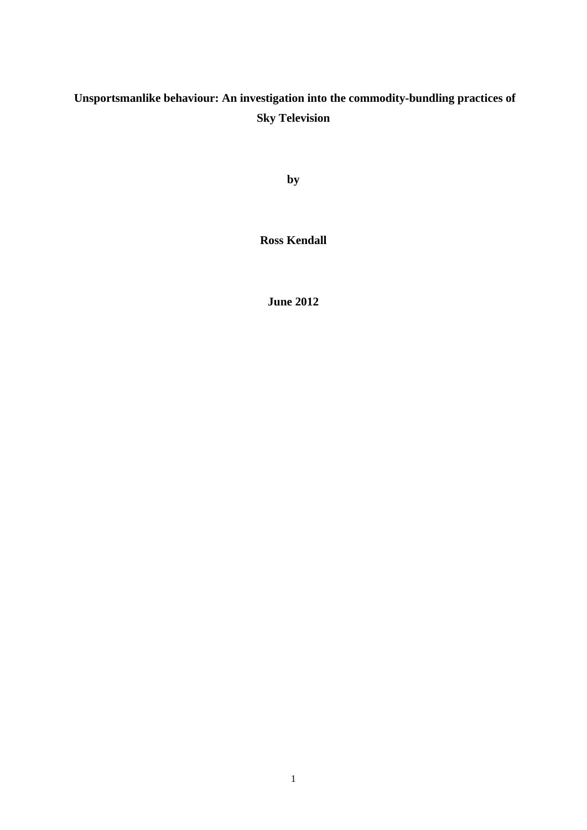# **Unsportsmanlike behaviour: An investigation into the commodity-bundling practices of Sky Television**

**by**

**Ross Kendall**

**June 2012**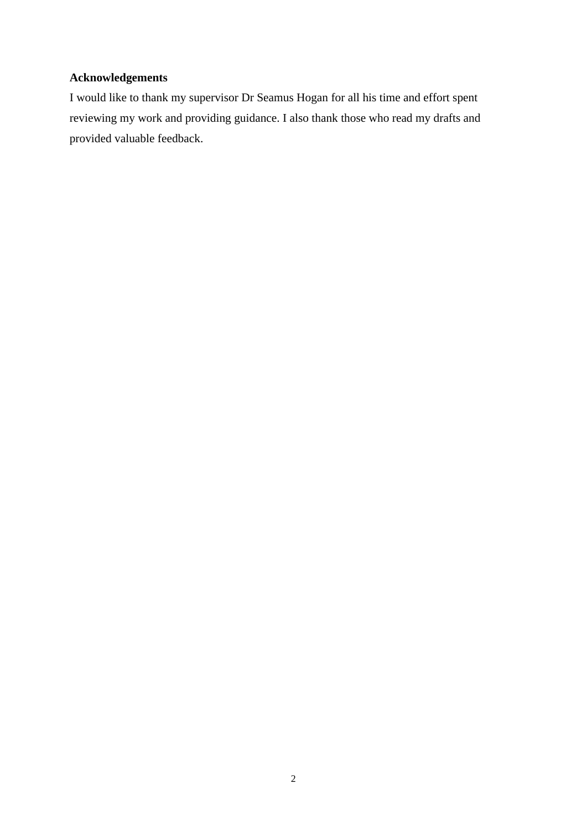### **Acknowledgements**

I would like to thank my supervisor Dr Seamus Hogan for all his time and effort spent reviewing my work and providing guidance. I also thank those who read my drafts and provided valuable feedback.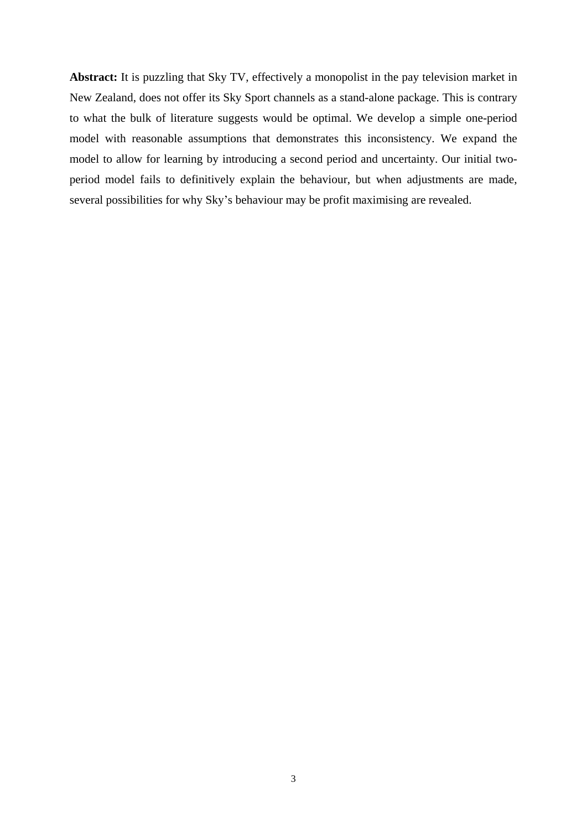**Abstract:** It is puzzling that Sky TV, effectively a monopolist in the pay television market in New Zealand, does not offer its Sky Sport channels as a stand-alone package.This is contrary to what the bulk of literature suggests would be optimal. We develop a simple one-period model with reasonable assumptions that demonstrates this inconsistency. We expand the model to allow for learning by introducing a second period and uncertainty. Our initial two period model fails to definitively explain the behaviour, but when adjustments are made, several possibilities for why Sky's behaviour may be profit maximising are revealed.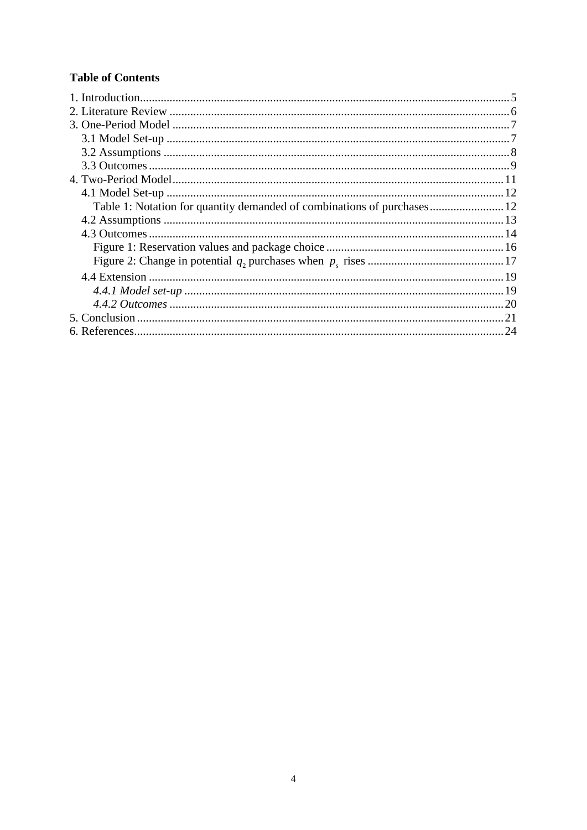## **Table of Contents**

| . 21 |
|------|
|      |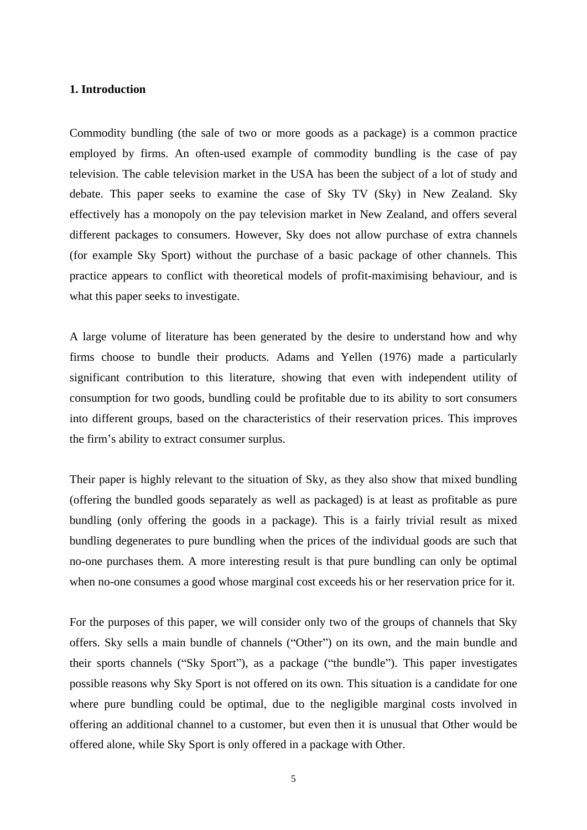#### **1. Introduction**

Commodity bundling (the sale of two or more goods as a package) is a common practice employed by firms. An often-used example of commodity bundling is the case of pay television. The cable television market in the USA has been the subject of a lot of study and debate. This paper seeks to examine the case of Sky TV (Sky) in New Zealand. Sky effectively has a monopoly on the pay television market in New Zealand, and offers several different packages to consumers. However, Sky does not allow purchase of extra channels (for example Sky Sport) without the purchase of a basic package of other channels. This practice appears to conflict with theoretical models of profit-maximising behaviour, and is what this paper seeks to investigate.

A large volume of literature has been generated by the desire to understand how and why firms choose to bundle their products. Adams and Yellen (1976) made a particularly significant contribution to this literature, showing that even with independent utility of consumption for two goods, bundling could be profitable due to its ability to sort consumers into different groups, based on the characteristics of their reservation prices. This improves the firm's ability to extract consumer surplus.

Their paper is highly relevant to the situation of Sky, as they also show that mixed bundling (offering the bundled goods separately as well as packaged) is at least as profitable as pure bundling (only offering the goods in a package). This is a fairly trivial result as mixed bundling degenerates to pure bundling when the prices of the individual goods are such that no-one purchases them. A more interesting result is that pure bundling can only be optimal when no-one consumes a good whose marginal cost exceeds his or her reservation price for it.

For the purposes of this paper, we will consider only two of the groups of channels that Sky offers. Sky sells a main bundle of channels ("Other") on its own, and the main bundle and their sports channels ("Sky Sport"), as a package ("the bundle"). This paper investigates possible reasons why Sky Sport is not offered on its own. This situation is a candidate for one where pure bundling could be optimal, due to the negligible marginal costs involved in offering an additional channel to a customer, but even then it is unusual that Other would be offered alone, while Sky Sport is only offered in a package with Other.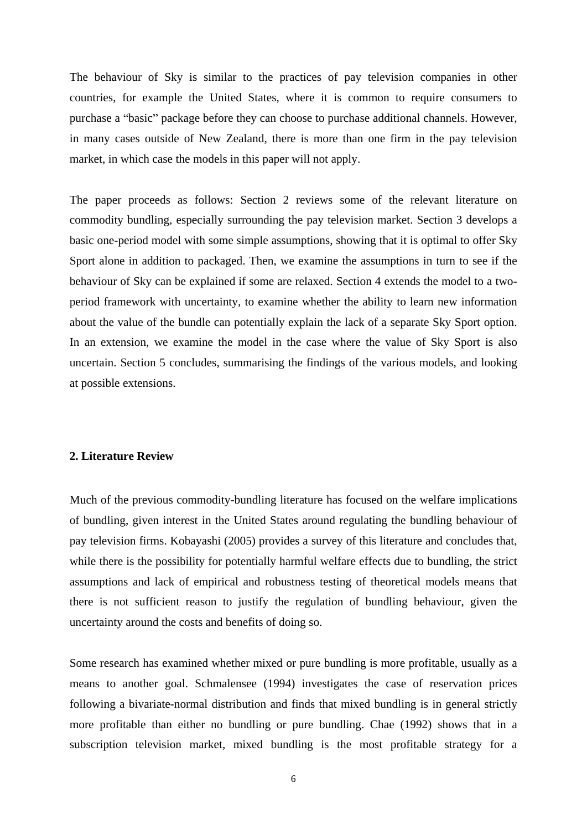The behaviour of Sky is similar to the practices of pay television companies in other countries, for example the United States, where it is common to require consumers to purchase a "basic" package before they can choose to purchase additional channels. However, in many cases outside of New Zealand, there is more than one firm in the pay television market, in which case the models in this paper will not apply.

The paper proceeds as follows: Section 2 reviews some of the relevant literature on commodity bundling, especially surrounding the pay television market. Section 3 develops a basic one-period model with some simple assumptions, showing that it is optimal to offer Sky Sport alone in addition to packaged. Then, we examine the assumptions in turn to see if the behaviour of Sky can be explained if some are relaxed. Section 4 extends the model to a two period framework with uncertainty, to examine whether the ability to learn new information about the value of the bundle can potentially explain the lack of a separate Sky Sport option. In an extension, we examine the model in the case where the value of Sky Sport is also uncertain. Section 5 concludes, summarising the findings of the various models, and looking at possible extensions.

#### **2. Literature Review**

Much of the previous commodity-bundling literature has focused on the welfare implications of bundling, given interest in the United States around regulating the bundling behaviour of pay television firms. Kobayashi (2005) provides a survey of this literature and concludes that, while there is the possibility for potentially harmful welfare effects due to bundling, the strict assumptions and lack of empirical and robustness testing of theoretical models means that there is not sufficient reason to justify the regulation of bundling behaviour, given the uncertainty around the costs and benefits of doing so.

Some research has examined whether mixed or pure bundling is more profitable, usually as a means to another goal. Schmalensee (1994) investigates the case of reservation prices following a bivariate-normal distribution and finds that mixed bundling is in general strictly more profitable than either no bundling or pure bundling. Chae (1992) shows that in a subscription television market, mixed bundling is the most profitable strategy for a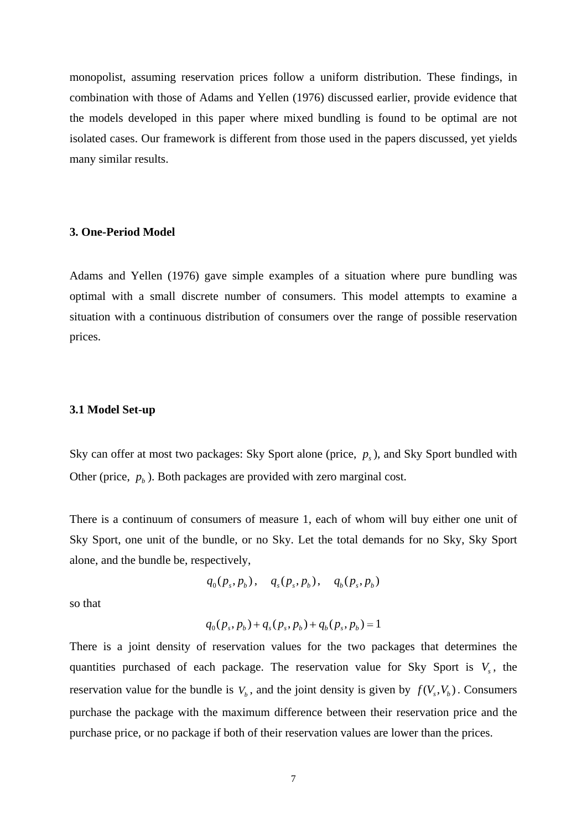monopolist, assuming reservation prices follow a uniform distribution. These findings, in combination with those of Adams and Yellen (1976) discussed earlier, provide evidence that the models developed in this paper where mixed bundling is found to be optimal are not isolated cases. Our framework is different from those used in the papers discussed, yet yields many similar results.

#### **3. One-Period Model**

Adams and Yellen (1976) gave simple examples of a situation where pure bundling was optimal with a small discrete number of consumers. This model attempts to examine a situation with a continuous distribution of consumers over the range of possible reservation prices.

#### **3.1 Model Set-up**

Sky can offer at most two packages: Sky Sport alone (price,  $p<sub>s</sub>$ ), and Sky Sport bundled with Other (price,  $p_b$ ). Both packages are provided with zero marginal cost.

There is a continuum of consumers of measure 1, each of whom will buy either one unit of Sky Sport, one unit of the bundle, or no Sky. Let the total demands forno Sky, Sky Sport alone, and the bundle be, respectively,

$$
q_0(p_s, p_b), \quad q_s(p_s, p_b), \quad q_b(p_s, p_b)
$$

so that **such a set of the set of the set of the set of the set of the set of the set of the set of the set of the set of the set of the set of the set of the set of the set of the set of the set of the set of the set of t** 

$$
q_0(p_s, p_b) + q_s(p_s, p_b) + q_b(p_s, p_b) = 1
$$

There is a joint density of reservation values for the two packages that determines the quantities purchased of each package. The reservation value for Sky Sport is  $V_s$ , the , the reservation value for the bundle is  $V_b$ , and the joint density is given by  $f(V_s, V_b)$ . Consumers  $,V_b$ ). Consumers ). Consumers purchase the package with the maximum difference between their reservation price and the purchase price, or no package if both of their reservation values are lower than the prices.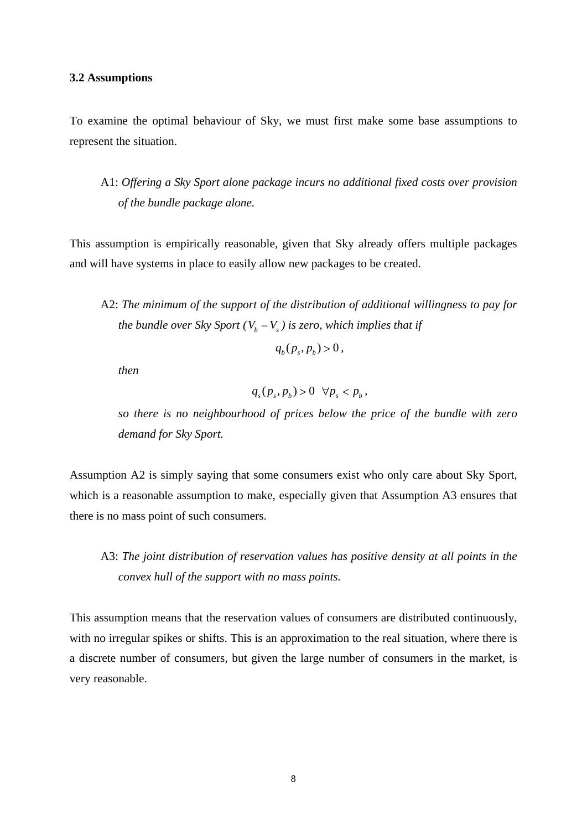#### **3.2 Assumptions**

To examine the optimal behaviour of Sky, we must first make some base assumptions to represent the situation.

A1: *Of ering a Sky Sport alone package incurs no additional fixed costs over provision of the bundle package alone.*

This assumption is empirically reasonable, given that Sky already offers multiple packages and will have systems in place to easily allow new packages to be created.

A2: *The minimum of the support of the distribution of additional willingness to pay for the bundle over Sky Sport* ( $V_b - V_s$ ) is zero, which implies that if

$$
q_b(p_s, p_b) > 0,
$$

*then*

 $q_s(p_s, p_b) > 0 \quad \forall p_s < p_b,$  $, p_b$ ) > 0  $\forall p_s < p_b$ ,  $) > 0 \ \ \forall p_s < p_b$ , *,*

*so there is no neighbourhood of prices below the price of the bundle with zero demand for Sky Sport.*

Assumption A2 is simply saying that some consumers exist who only care about Sky Sport, which is a reasonable assumption to make, especially given that Assumption A3 ensures that there is no mass point of such consumers.

## A3: *The joint distribution of reservation values has positive density at all points in the convex hull of the support with no mass points.*

This assumption means that the reservation values of consumers are distributed continuously, with no irregular spikes or shifts. This is an approximation to the real situation, where there is a discrete number of consumers, but given the large number of consumers in the market, is very reasonable.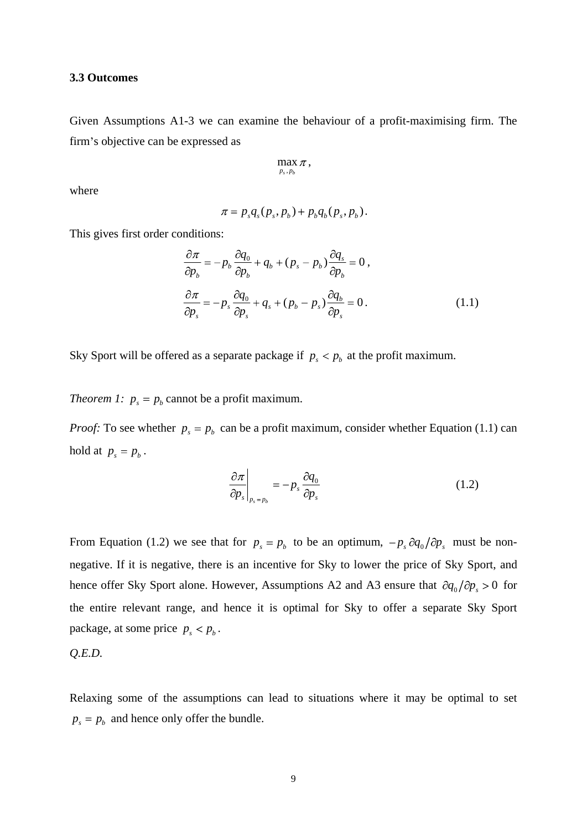#### **3.3 Outcomes**

Given Assumptions A1-3 we can examine the behaviour of a profit-maximising firm. The firm's objective can be expressed as

$$
\max_{p_s, p_b} \pi,
$$

where the contract of the contract of the contract of the contract of the contract of the contract of the contract of the contract of the contract of the contract of the contract of the contract of the contract of the cont

$$
\pi = p_s q_s (p_s, p_b) + p_b q_b (p_s, p_b).
$$

This gives first order conditions:

$$
\frac{\partial \pi}{\partial p_b} = -p_b \frac{\partial q_0}{\partial p_b} + q_b + (p_s - p_b) \frac{\partial q_s}{\partial p_b} = 0,
$$
  

$$
\frac{\partial \pi}{\partial p_s} = -p_s \frac{\partial q_0}{\partial p_s} + q_s + (p_b - p_s) \frac{\partial q_b}{\partial p_s} = 0.
$$
 (1.1)

Sky Sport will be offered as a separate package if  $p_s < p_b$  at the profit maximum.

*Theorem 1:*  $p_s = p_b$  cannot be a profit maximum.

*Proof:* To see whether  $p_s = p_b$  can be a profit maximum, consider whether Equation (1.1) can hold at  $p_s = p_b$ . . A construction of the construction of the construction of the construction of the construction of the construction

$$
\left. \frac{\partial \pi}{\partial p_s} \right|_{p_s = p_b} = -p_s \frac{\partial q_0}{\partial p_s} \tag{1.2}
$$

From Equation (1.2) we see that for  $p_s = p_b$  to be an optimum,  $-p_s \partial q_0 / \partial p_s$  must be non*ps* must be non negative. If it is negative, there is an incentive for Sky to lower the price of Sky Sport, and hence offer Sky Sport alone. However, Assumptions A2 and A3 ensure that  $\partial q_0 / \partial p_s > 0$  for  $p_s > 0$  for the entire relevant range, and hence it is optimal for Sky to offer a separate Sky Sport package, at some price  $p_s < p_b$ . . A construction of the construction of the construction of the construction of the construction of the construction

$$
Q.E.D.
$$

Relaxing some of the assumptions can lead to situations where it may be optimal to set  $p_s = p_b$  and hence only offer the bundle.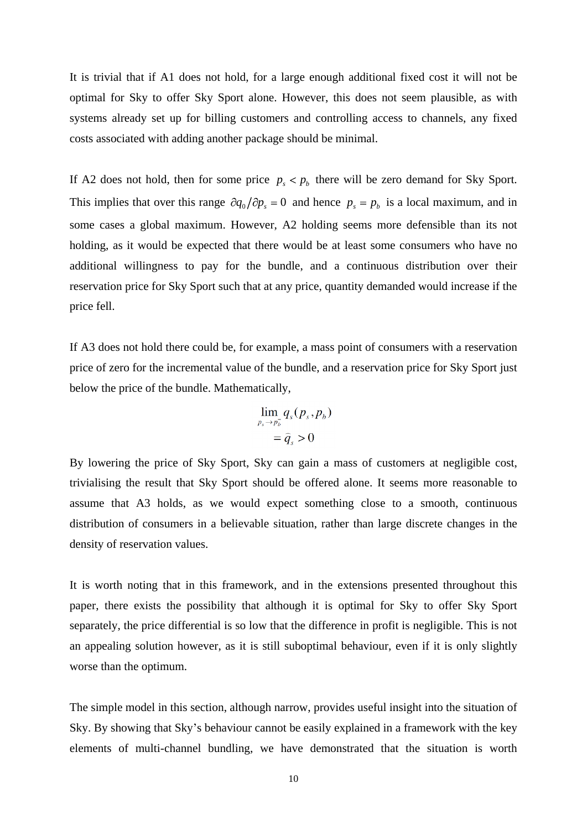It is trivial that if A1 does not hold, for a large enough additional fixed cost it will not be optimal for Sky to offer Sky Sport alone. However, this does not seem plausible, as with systems already set up for billing customers and controlling access to channels, any fixed costs associated with adding another package should be minimal.

If A2 does not hold, then for some price  $p_s < p_b$  there will be zero demand for Sky Sport. This implies that over this range  $\partial q_0 / \partial p_s = 0$  and hence  $p_s = p_b$  is a local maximum, and in some cases a global maximum. However, A2 holding seems more defensible than its not holding, as it would be expected that there would be at least some consumers who have no additional willingness to pay for the bundle, and a continuous distribution over their reservation price for Sky Sport such that at any price, quantity demanded would increase if the price fell.

If A3 does not hold there could be, for example, a mass point of consumers with a reservation price of zero for the incremental value of the bundle, and a reservation price for Sky Sport just below the price of the bundle. Mathematically,

$$
\lim_{p_s \to p_b^-} q_s(p_s, p_b) = \hat{q}_s > 0
$$

By lowering the price of Sky Sport, Sky can gain a mass of customers at negligible cost, trivialising the result that Sky Sport should be offered alone. It seems more reasonable to assume that A3 holds, as we would expect something close to a smooth, continuous distribution of consumers in a believable situation, rather than large discrete changes in the density of reservation values.

It is worth noting that in this framework, and in the extensions presented throughout this paper, there exists the possibility that although it is optimal for Sky to offer Sky Sport separately, the price differential is so low that the difference in profit is negligible. This is not an appealing solution however, as it is still suboptimal behaviour, even if it is only slightly worse than the optimum.

The simple model in this section, although narrow, provides useful insight into the situation of Sky. By showing that Sky's behaviour cannot be easily explained in a framework with the key elements of multi-channel bundling, we have demonstrated that the situation is worth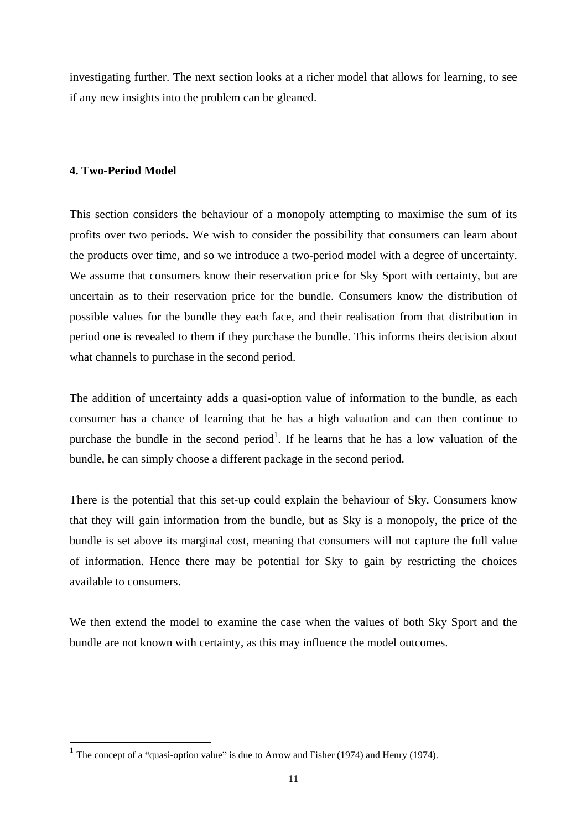investigating further. The next section looks at a richer model that allows for learning, to see if any new insights into the problem can be gleaned.

#### **4. Two-Period Model**

This section considers the behaviour of a monopoly attempting to maximise the sum of its profits over two periods. We wish to consider the possibility that consumers can learn about the products over time, and so we introduce a two-period model with a degree of uncertainty. We assume that consumers know their reservation price for Sky Sport with certainty, but are uncertain as to their reservation price for the bundle. Consumers know the distribution of possible values for the bundle they each face, and their realisation from that distribution in period one is revealed to them if they purchase the bundle. This informs theirs decision about what channels to purchase in the second period.

The addition of uncertainty adds a quasi-option value of information to the bundle, as each consumer has a chance of learning that he has a high valuation and can then continue to purchase the bundle in the second  $period<sup>1</sup>$ . If he learns that he has a low valuation of the bundle, he can simply choose a different package in the second period.

There is the potential that this set-up could explain the behaviour of Sky. Consumers know that they will gain information from the bundle, but as Sky is a monopoly, the price of the bundle is set above its marginal cost, meaning that consumers will not capture the full value of information. Hence there may be potential for Sky to gain by restricting the choices available to consumers.

We then extend the model to examine the case when the values of both Sky Sport and the bundle are not known with certainty, as this may influence the model outcomes.

<sup>&</sup>lt;sup>1</sup> The concept of a "quasi-option value" is due to Arrow and Fisher (1974) and Henry (1974).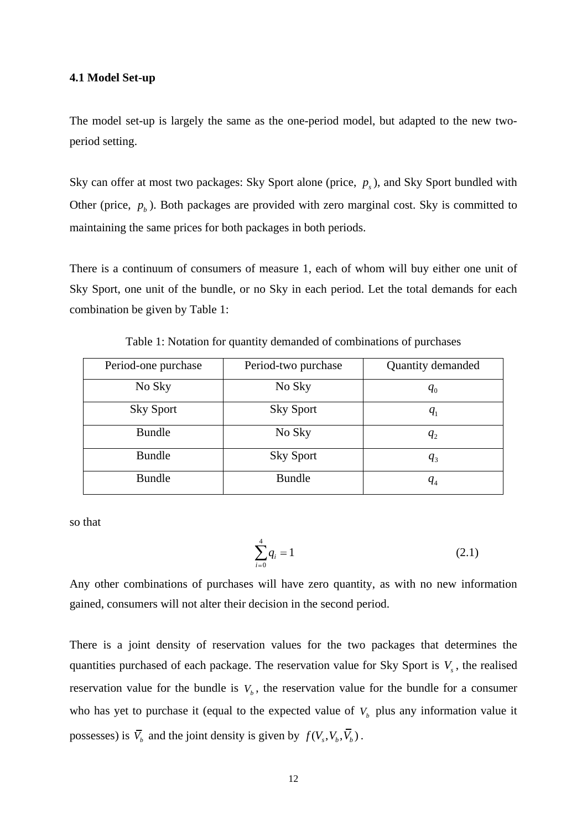#### **4.1 Model Set-up**

The model set-up is largely the same as the one-period model, but adapted to the new two period setting.

Sky can offer at most two packages: Sky Sport alone (price,  $p<sub>s</sub>$ ), and Sky Sport bundled with Other (price,  $p_b$ ). Both packages are provided with zero marginal cost. Sky is committed to maintaining the same prices for both packages in both periods.

There is a continuum of consumers of measure 1, each of whom will buy either one unit of Sky Sport, one unit of the bundle, or no Sky in each period. Let the total demands for each combination be given by Table 1:

| Period-one purchase | Period-two purchase | Quantity demanded |
|---------------------|---------------------|-------------------|
| No Sky              | No Sky              |                   |
| Sky Sport           | Sky Sport           |                   |
| Bundle              | No Sky              |                   |
| <b>Bundle</b>       | Sky Sport           |                   |
| Bundle              | <b>Bundle</b>       | $\frac{q_4}{q_4}$ |

Table 1: Notation for quantity demanded of combinations of purchases

so that

$$
\sum_{i=0}^{4} q_i = 1 \tag{2.1}
$$

Any other combinations of purchases will have zero quantity, as with no new information gained, consumers will not alter their decision in the second period.

There is a joint density of reservation values for the two packages that determines the quantities purchased of each package. The reservation value for Sky Sport is  $V<sub>s</sub>$ , the realised , the realised reservation value for the bundle is  $V_b$ , the reservation value for the bundle for a consumer who has yet to purchase it (equal to the expected value of  $V<sub>b</sub>$  plus any information value it possesses) is  $\overline{V}_b$  and the joint density is given by  $f(V_s, V_b, V_b)$ .  $, V_b, V_b)$ .  $, V_b$ ).  $\left( \begin{array}{ccc} 0 & 0 & 0 \\ 0 & 0 & 0 \\ 0 & 0 & 0 \\ 0 & 0 & 0 \\ 0 & 0 & 0 \\ 0 & 0 & 0 \\ 0 & 0 & 0 \\ 0 & 0 & 0 \\ 0 & 0 & 0 \\ 0 & 0 & 0 \\ 0 & 0 & 0 \\ 0 & 0 & 0 \\ 0 & 0 & 0 & 0 \\ 0 & 0 & 0 & 0 \\ 0 & 0 & 0 & 0 \\ 0 & 0 & 0 & 0 & 0 \\ 0 & 0 & 0 & 0 & 0 \\ 0 & 0 & 0 & 0 & 0 \\ 0 & 0 & 0 & 0 & 0 \\ 0 & 0 &$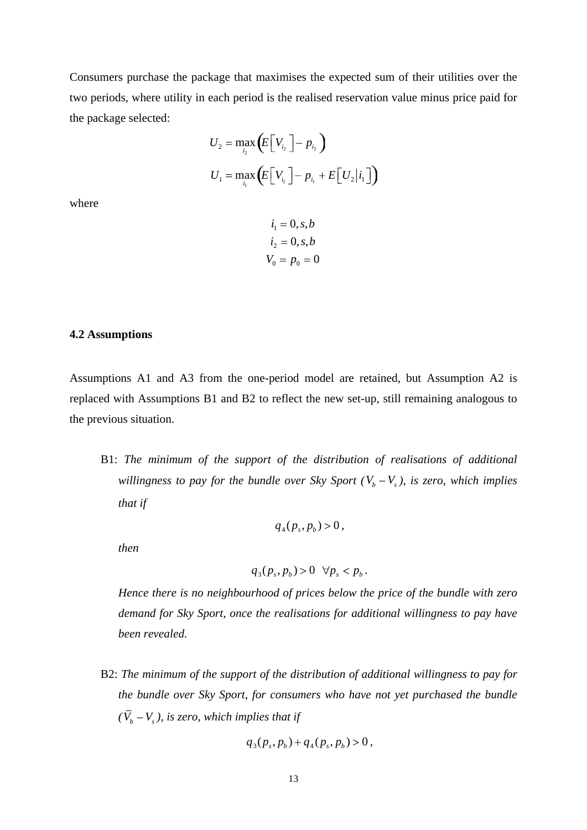Consumers purchase the package that maximises the expected sum of their utilities over the two periods, where utility in each period is the realised reservation value minus price paid for the package selected:

$$
\begin{aligned} U_2 &= \max_{i_2} \left( \! E \Big[ V_{i_2} \, \Big] \! - p_{i_2} \, \right) \\ U_1 &= \max_{i_1} \left( \! E \Big[ V_{i_1} \, \Big] \! - p_{i_1} + E \Big[ \, U_2 \big| i_1 \, \Big] \! \right) \end{aligned}
$$

where the contract of the contract of the contract of the contract of the contract of the contract of the contract of the contract of the contract of the contract of the contract of the contract of the contract of the cont

$$
i_1 = 0, s, b
$$
  
\n
$$
i_2 = 0, s, b
$$
  
\n
$$
V_0 = p_0 = 0
$$

#### **4.2 Assumptions**

Assumptions A1 and A3 from the one-period model are retained, but Assumption A2 is replaced with Assumptions B1 and B2 to reflect the new set-up, still remaining analogous to the previous situation.

B1: *The minimum of the support of the distribution of realisations of additional willingness to pay for the bundle over Sky Sport*  $(V_b - V_s)$ , *is zero, which implies that if* 

$$
q_4(p_s, p_b) > 0,
$$

*then*

$$
q_3(p_s, p_b) > 0 \quad \forall p_s < p_b \, .
$$

*Hence there is no neighbourhood of prices below the price of the bundle with zero demand for Sky Sport, once the realisations for additional willingness to pay have been revealed.*

B2: *The minimum of the support of the distribution of additional willingness to pay for the bundle over Sky Sport, for consumers who have not yet purchased the bundle*  $(V_b - V_s)$ , is zero, which implies that if

$$
q_3(p_s, p_b) + q_4(p_s, p_b) > 0,
$$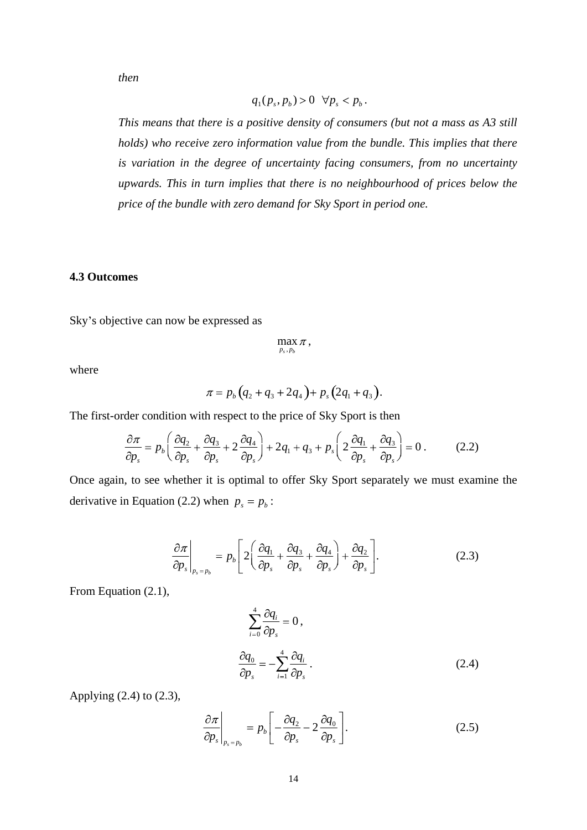*then*

$$
q_1(p_s, p_b) > 0 \quad \forall p_s < p_b \, .
$$

*This means that there is a positive density of consumers (but not a mass as A3 still holds) who receive zero information value from the bundle. This implies that there is variation in the degree of uncertainty facing consumers, from no uncertainty upwards. This in turn implies that there is no neighbourhood of prices below the price of the bundle with zero demand for Sky Sport in period one.*

#### **4.3 Outcomes**

Sky's objective can now be expressed as

$$
\max_{p_s,p_b} \pi\,,
$$

where the contract of the contract of the contract of the contract of the contract of the contract of the contract of the contract of the contract of the contract of the contract of the contract of the contract of the cont

$$
\pi = p_b (q_2 + q_3 + 2q_4) + p_s (2q_1 + q_3).
$$

The first-order condition with respect to the price of Sky Sport is then

$$
\frac{\partial \pi}{\partial p_s} = p_b \left( \frac{\partial q_2}{\partial p_s} + \frac{\partial q_3}{\partial p_s} + 2 \frac{\partial q_4}{\partial p_s} \right) + 2q_1 + q_3 + p_s \left( 2 \frac{\partial q_1}{\partial p_s} + \frac{\partial q_3}{\partial p_s} \right) = 0 \,. \tag{2.2}
$$

Once again, to see whether it is optimal to offer Sky Sport separately we must examine the derivative in Equation (2.2) when  $p_s = p_b$ : : The contract of the contract of the contract of the contract of the contract of the contract of the contract<br>In the contract of the contract of the contract of the contract of the contract of the contract of the contract

$$
\left. \frac{\partial \pi}{\partial p_s} \right|_{p_s = p_b} = p_b \left[ 2 \left( \frac{\partial q_1}{\partial p_s} + \frac{\partial q_3}{\partial p_s} + \frac{\partial q_4}{\partial p_s} \right) + \frac{\partial q_2}{\partial p_s} \right].
$$
\n(2.3)

From Equation (2.1),

$$
\sum_{i=0}^{4} \frac{\partial q_i}{\partial p_s} = 0,
$$
\n
$$
\frac{\partial q_0}{\partial p_s} = -\sum_{i=1}^{4} \frac{\partial q_i}{\partial p_s}.
$$
\n(2.4)

Applying (2.4) to (2.3),

$$
\left. \frac{\partial \pi}{\partial p_s} \right|_{p_s = p_b} = p_b \left[ -\frac{\partial q_2}{\partial p_s} - 2 \frac{\partial q_0}{\partial p_s} \right]. \tag{2.5}
$$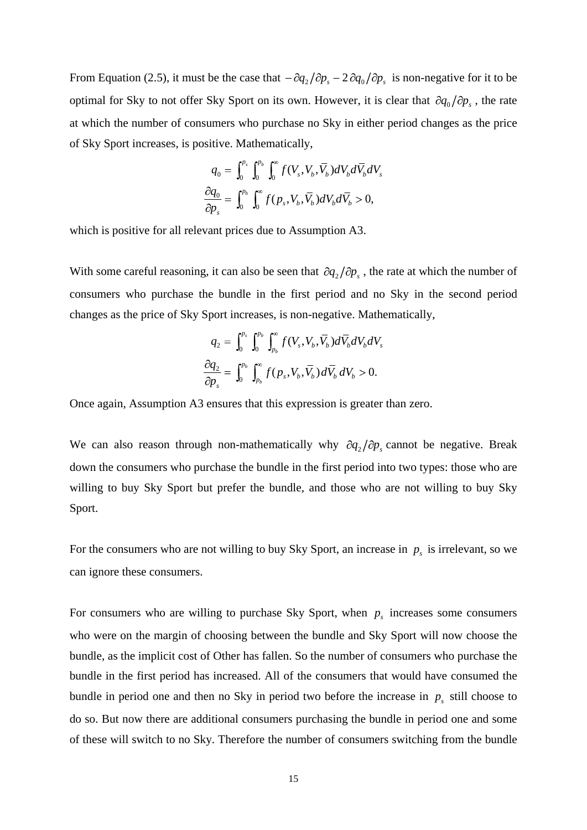From Equation (2.5), it must be the case that  $-\partial q_2/\partial p_s - 2 \partial q_0/\partial p_s$  is non-negative for it to be optimal for Sky to not offer Sky Sport on its own. However, it is clear that  $\partial q_0 / \partial p_s$ , the rate  $\mathcal{P}_s$ , the rate , the rate at which the number of consumers who purchase no Sky in either period changes as the price of Sky Sport increases, is positive. Mathematically,

$$
q_0 = \int_0^{p_s} \int_0^{p_b} \int_0^{\infty} f(V_s, V_b, \overline{V}_b) dV_b d\overline{V}_b dV_s
$$
  

$$
\frac{\partial q_0}{\partial p_s} = \int_0^{p_b} \int_0^{\infty} f(p_s, V_b, \overline{V}_b) dV_b d\overline{V}_b > 0,
$$

which is positive for all relevant prices due to Assumption A3.

With some careful reasoning, it can also be seen that  $\partial q_2/\partial p_s$ , the rate at which the number of consumers who purchase the bundle in the first period and no Sky in the second period changes as the price of Sky Sport increases, is non-negative. Mathematically,

$$
\begin{aligned} q_2 &= \int_0^{p_s} \int_0^{p_b} \int_{p_b}^{\infty} f(V_s,V_b,\bar{V}_b) d\bar{V}_b dV_b dV_s \\ \frac{\partial q_2}{\partial p_s} &= \int_0^{p_b} \int_{p_b}^{\infty} f(p_s,V_b,\bar{V}_b) d\bar{V}_b dV_b > 0. \end{aligned}
$$

Once again, Assumption A3 ensures that this expression is greater than zero.

We can also reason through non-mathematically why  $\partial q_2/\partial p_s$  cannot be negative. Break down the consumers who purchase the bundle in the first period into two types: those who are willing to buy Sky Sport but prefer the bundle, and those who are not willing to buy Sky Sport.

For the consumers who are not willing to buy Sky Sport, an increase in  $p<sub>s</sub>$  is irrelevant, so we can ignore these consumers.

For consumers who are willing to purchase Sky Sport, when  $p<sub>s</sub>$  increases some consumers who were on the margin of choosing between the bundle and Sky Sport will now choose the bundle, as the implicit cost of Other has fallen. So the number of consumers who purchase the bundle in the first period has increased. All of the consumers that would have consumed the bundle in period one and then no Sky in period two before the increase in  $p<sub>s</sub>$  still choose to still choose to do so. But now there are additional consumers purchasing the bundle in period one and some of these will switch to no Sky. Therefore the number of consumers switching from the bundle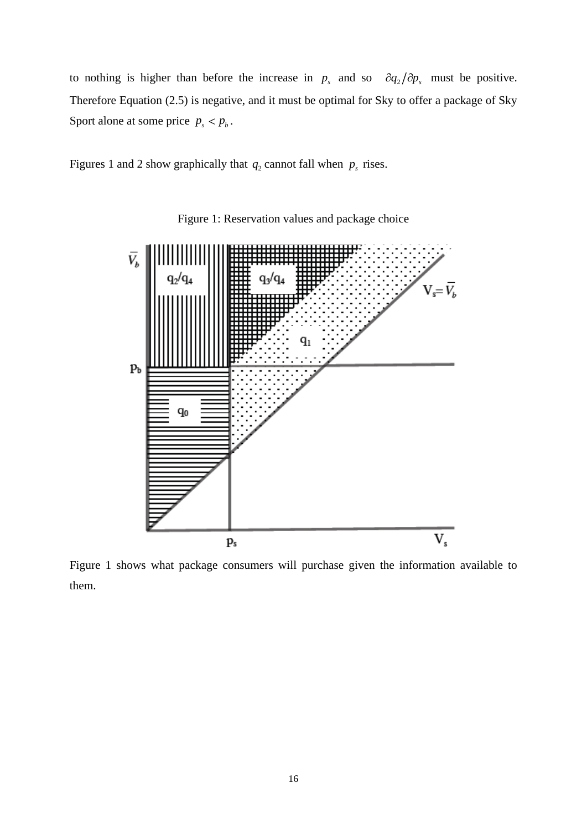to nothing is higher than before the increase in  $p_s$  and so  $\partial q_2/\partial p_s$  must be positive. Therefore Equation (2.5) is negative, and it must be optimal for Sky to offer a package of Sky Sport alone at some price  $p_s < p_b$ . Sport alone at some price  $p_s < p_b$ .<br>Figures 1 and 2 show graphically that  $q_2$  cannot fall when  $p_s$  rises.

Figures 1 and 2 show graphically that  $q_2$  cannot fall when  $p_s$  rises. rises.



Figure 1: Reservation values and package choice

Figure 1 shows what package consumers will purchase given the information available to them.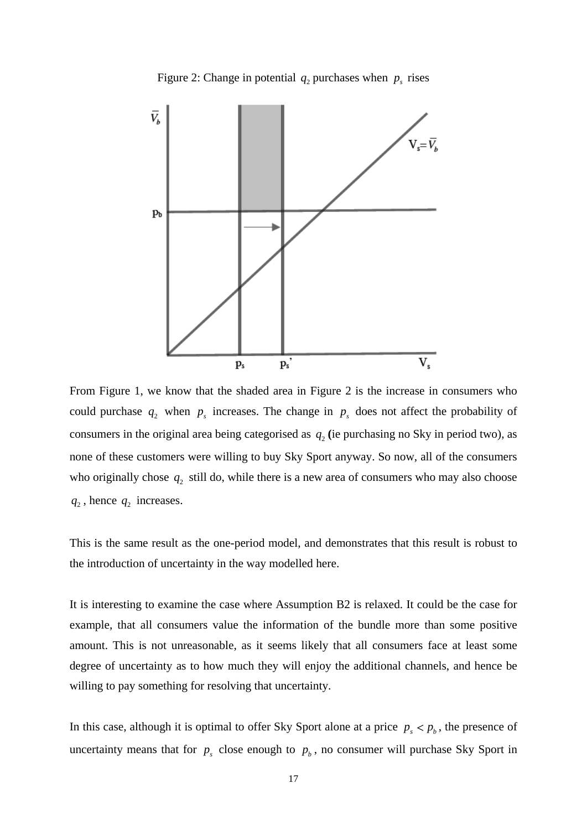



From Figure 1, we know that the shaded area in Figure 2 is the increase in consumers who could purchase  $q_2$  when  $p_s$  increases. The change in  $p_s$  does not affect the probability of consumers in the original area being categorised as  $q_2$  (ie purchasing no Sky in period two), as none of these customers were willing to buy Sky Sport anyway. So now, all of the consumers who originally chose  $q_2$  still do, while there is a new area of consumers who may also choose  $q_2$ , hence  $q_2$  increases. , hence  $q_2$  increases. increases.

This is the same result as the one-period model, and demonstrates that this result is robust to the introduction of uncertainty in the way modelled here.

It is interesting to examine the case where Assumption B2 is relaxed. It could be the case for example, that all consumers value the information of the bundle more than some positive amount. This is not unreasonable, as it seems likely that all consumers face at least some degree of uncertainty as to how much they will enjoy the additional channels, and hence be willing to pay something for resolving that uncertainty.

In this case, although it is optimal to offer Sky Sport alone at a price  $p_s < p_b$ , the presence of , the presence of uncertainty means that for  $p_s$  close enough to  $p_b$ , no consumer will purchase Sky Sport in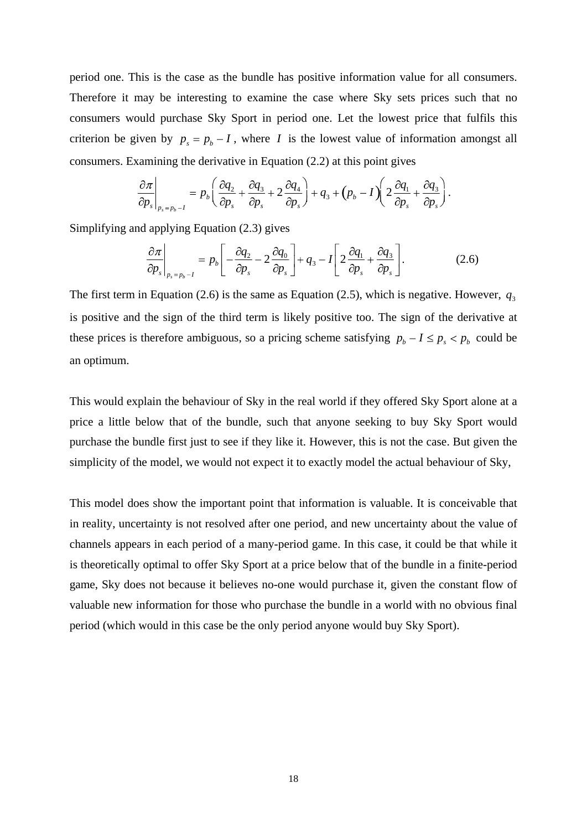period one. This is the case as the bundle has positive information value for all consumers. Therefore it may be interesting to examine the case where Sky sets prices such that no consumers would purchase Sky Sport in period one. Let the lowest price that fulfils this criterion be given by  $p_s = p_b - I$ , where *I* is the lowest value of information amongst all consumers. Examining the derivative in Equation (2.2) at this point gives

$$
\left.\frac{\partial \pi}{\partial p_s}\right|_{p_s=p_b-1}=p_b\left(\frac{\partial q_2}{\partial p_s}+\frac{\partial q_3}{\partial p_s}+2\frac{\partial q_4}{\partial p_s}\right)+q_3+\left(p_b-I\right)\left(2\frac{\partial q_1}{\partial p_s}+\frac{\partial q_3}{\partial p_s}\right).
$$

Simplifying and applying Equation (2.3) gives

$$
\left. \frac{\partial \pi}{\partial p_s} \right|_{p_s = p_b - I} = p_b \left[ -\frac{\partial q_2}{\partial p_s} - 2 \frac{\partial q_0}{\partial p_s} \right] + q_3 - I \left[ 2 \frac{\partial q_1}{\partial p_s} + \frac{\partial q_3}{\partial p_s} \right]. \tag{2.6}
$$

The first term in Equation (2.6) is the same as Equation (2.5), which is negative. However,  $q_3$ is positive and the sign of the third term is likely positive too. The sign of the derivative at these prices is therefore ambiguous, so a pricing scheme satisfying  $p_b - I \leq p_s < p_b$  could be  $I \leq p_s < p_b$  could be could be an optimum.

This would explain the behaviour of Sky in the real world if they offered Sky Sport alone at a price a little below that of the bundle, such that anyone seeking to buy Sky Sport would purchase the bundle first just to see if they like it. However, this is not the case. But given the simplicity of the model, we would not expect it to exactly model the actual behaviour of Sky,

This model does show the important point that information is valuable. It is conceivable that in reality, uncertainty is not resolved after one period, and new uncertainty about the value of channels appears in each period of a many-period game. In this case, it could be that while it is theoretically optimal to offer Sky Sport at a price below that of the bundle in a finite-period game, Sky does not because it believes no-one would purchase it, given the constant flow of valuable new information for those who purchase the bundle in a world with no obvious final period (which would in this case be the only period anyone would buy Sky Sport).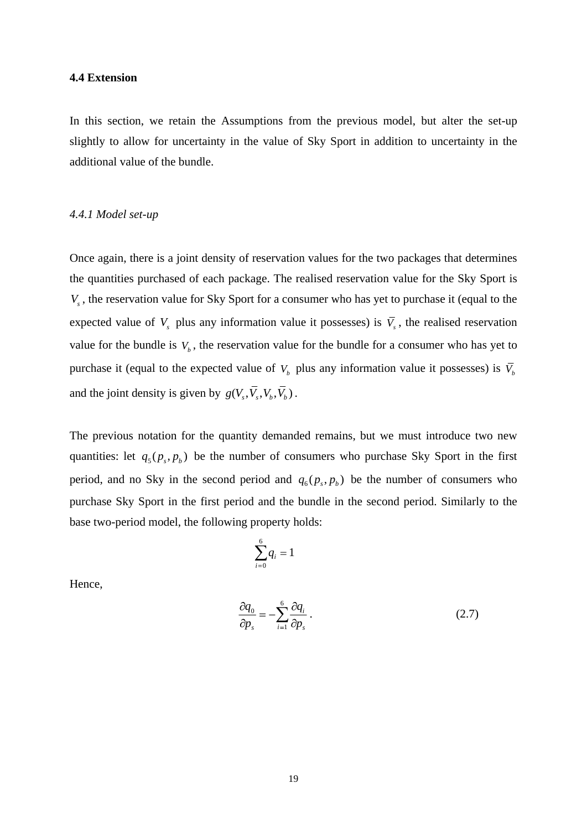#### **4.4 Extension**

In this section, we retain the Assumptions from the previous model, but alter the set-up slightly to allow for uncertainty in the value of Sky Sport in addition to uncertainty in the additional value of the bundle.

#### *4.4.1 Model set-up*

Once again, there is a joint density of reservation values for the two packages that determines the quantities purchased of each package. The realised reservation value for the Sky Sport is *V<sub>s</sub>*, the reservation value for Sky Sport for a consumer who has yet to purchase it (equal to the expected value of  $V_s$  plus any information value it possesses) is  $\overline{V}_s$ , the realised reservation value for the bundle is  $V_b$ , the reservation value for the bundle for a consumer who has yet to purchase it (equal to the expected value of  $V_b$  plus any information value it possesses) is  $\bar{V}_b$ and the joint density is given by  $g(V_s, \overline{V}_s, V_b, \overline{V}_b)$ .  $, V_s, V_b, V_b)$  .  $, V_b, V_b)$ .  $, V_b$ ). ) .

The previous notation for the quantity demanded remains, but we mustintroduce two new quantities: let  $q_5(p_s, p_b)$  be the number of consumers who purchase Sky Sport in the first period, and no Sky in the second period and  $q_6(p_s, p_b)$  be the number of consumers who purchase Sky Sport in the first period and the bundle in the second period. Similarly to the base two-period model, the following property holds:

$$
\sum_{i=0}^6 q_i = 1
$$

Hence,

$$
\frac{\partial q_0}{\partial p_s} = -\sum_{i=1}^6 \frac{\partial q_i}{\partial p_s} \,. \tag{2.7}
$$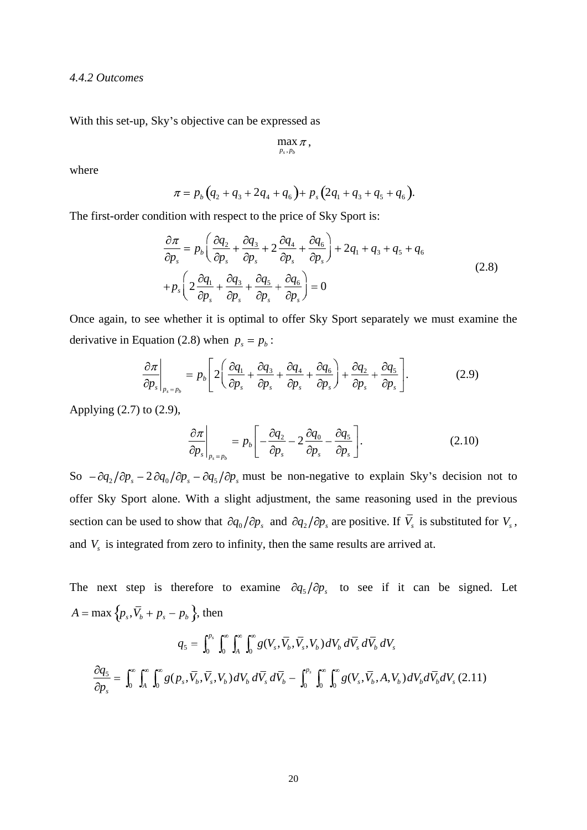*4.4.2 Outcomes*

With this set-up, Sky's objective can be expressed as

$$
\max_{p_s, p_b} \pi,
$$

where the contract of the contract of the contract of the contract of the contract of the contract of the contract of the contract of the contract of the contract of the contract of the contract of the contract of the cont

$$
\pi = p_b \left( q_2 + q_3 + 2q_4 + q_6 \right) + p_s \left( 2q_1 + q_3 + q_5 + q_6 \right).
$$

The first-order condition with respect to the price of Sky Sport is:

$$
\frac{\partial \pi}{\partial p_s} = p_b \left( \frac{\partial q_2}{\partial p_s} + \frac{\partial q_3}{\partial p_s} + 2 \frac{\partial q_4}{\partial p_s} + \frac{\partial q_6}{\partial p_s} \right) + 2q_1 + q_3 + q_5 + q_6
$$
\n
$$
+ p_s \left( 2 \frac{\partial q_1}{\partial p_s} + \frac{\partial q_3}{\partial p_s} + \frac{\partial q_5}{\partial p_s} + \frac{\partial q_6}{\partial p_s} \right) = 0
$$
\n(2.8)

Once again, to see whether it is optimal to offer Sky Sport separately we must examine the derivative in Equation (2.8) when  $p_s = p_b$ : : The contract of the contract of the contract of the contract of the contract of the contract of the contract of the contract of the contract of the contract of the contract of the contract of the contract of the contract

$$
\left. \frac{\partial \pi}{\partial p_s} \right|_{p_s = p_b} = p_b \left[ 2 \left( \frac{\partial q_1}{\partial p_s} + \frac{\partial q_3}{\partial p_s} + \frac{\partial q_4}{\partial p_s} + \frac{\partial q_6}{\partial p_s} \right) + \frac{\partial q_2}{\partial p_s} + \frac{\partial q_5}{\partial p_s} \right].
$$
\n(2.9)

Applying (2.7) to (2.9),

$$
\left. \frac{\partial \pi}{\partial p_s} \right|_{p_s = p_b} = p_b \left[ -\frac{\partial q_2}{\partial p_s} - 2 \frac{\partial q_0}{\partial p_s} - \frac{\partial q_5}{\partial p_s} \right]. \tag{2.10}
$$

So  $-\partial q_2/\partial p_s - 2\partial q_0/\partial p_s - \partial q_5/\partial p_s$  must be non-negative to explain Sky's decision not to offer Sky Sport alone. With a slight adjustment, the same reasoning used in the previous section can be used to show that  $\partial q_0 / \partial p_s$  and  $\partial q_2 / \partial p_s$  are positive. If *V<sub>s</sub>* is substituted for *V<sub>s</sub>*, and *V<sub>s</sub>* is integrated from zero to infinity, then the same results are arrived at. and  $V<sub>s</sub>$  is integrated from zero to infinity, then the same results are arrived at.

The next step is therefore to examine  $\partial q_5/\partial p_s$  to see if it can be signed. Let *A* = max  $\{p_s, \bar{V}_b + p_s - p_b\}$ , then  $, V_b + p_s - p_b$  }, then  $p_s - p_b$   $\}$ , then , then

$$
q_5 = \int_0^{p_s} \int_0^{\infty} \int_A^{\infty} \int_0^{\infty} g(V_s, \overline{V}_s, V_b) dV_b d\overline{V}_s d\overline{V}_b dV_s
$$

$$
\frac{\partial q_5}{\partial p_s} = \int_0^{\infty} \int_A^{\infty} \int_0^{\infty} g(p_s, \overline{V}_s, \overline{V}_s, V_b) dV_b d\overline{V}_s d\overline{V}_b - \int_0^{p_s} \int_0^{\infty} \int_0^{\infty} g(V_s, \overline{V}_s, A, V_b) dV_b d\overline{V}_b dV_s (2.11)
$$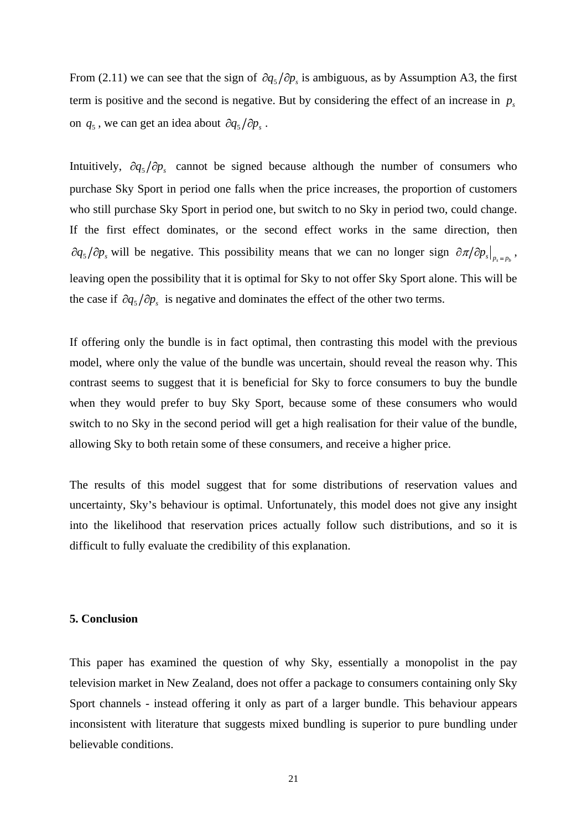From (2.11) we can see that the sign of  $\partial q_5/\partial p_s$  is ambiguous, as by Assumption A3, the first term is positive and the second is negative. But by considering the effect of an increase in  $p<sub>s</sub>$ on  $q_5$ , we can get an idea about  $\partial q_5 / \partial p_s$ .  $p_s$ .

on  $q_5$ , we can get an idea about  $\partial q_5 / \partial p_5$ .<br>Intuitively,  $\partial q_5 / \partial p_5$  cannot be signed because although the number of consumers who Intuitively,  $\partial q_5/\partial p_5$  cannot be signed because although the number of consumers who purchase Sky Sport in period one falls when the price increases, the proportion of customers who still purchase Sky Sport in period one, but switch to no Sky in period two, could change. If the first effect dominates, or the second effect works in the same direction, then  $\partial q_5/\partial p_s$  will be negative. This possibility means that we can no longer sign  $\partial \pi/\partial p_s|_{p_s=p_b}$ ,<br>leaving open the possibility that it is optimal for Sky to not offer Sky Sport alone. This will be the case if  $\partial q_5/\partial p_s$  is negative and dominates the effect of the other two terms.

If offering only the bundle is in fact optimal, then contrasting this model with the previous model, where only the value of the bundle was uncertain, should reveal the reason why. This contrast seems to suggest that it is beneficial for Sky to force consumers to buy the bundle when they would prefer to buy Sky Sport, because some of these consumers who would switch to no Sky in the second period will get a high realisation for their value of the bundle, allowing Sky to both retain some of these consumers, and receive a higher price.

The results of this model suggest that for some distributions of reservation values and uncertainty, Sky s behaviour is optimal. Unfortunately, this model does not give any insight into the likelihood that reservation prices actually follow such distributions, and so it is difficult to fully evaluate the credibility of this explanation.

#### **5. Conclusion**

This paper has examined the question of why Sky, essentially a monopolist in the pay television market in New Zealand, does not offer a package to consumers containing only Sky Sport channels - instead offering it only as part of a larger bundle. This behaviour appears inconsistent with literature that suggests mixed bundling is superior to pure bundling under believable conditions.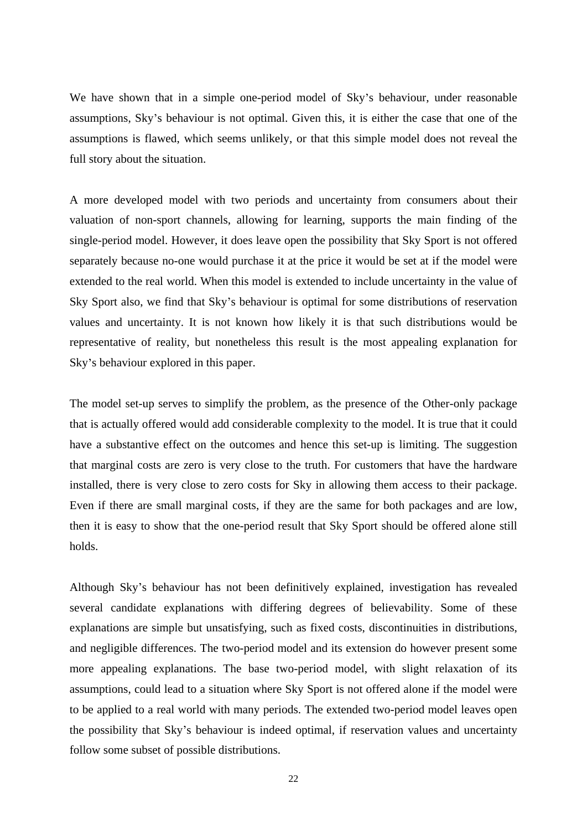We have shown that in a simple one-period model of Sky's behaviour, under reasonable assumptions, Sky's behaviour is not optimal. Given this, it is either the case that one of the assumptions is flawed, which seems unlikely, or that this simple model does not reveal the full story about the situation.

A more developed model with two periods and uncertainty from consumers about their valuation of non-sport channels, allowing for learning, supports the main finding of the single-period model. However, it does leave open the possibility that Sky Sport is not offered separately because no-one would purchase it at the price it would be set at if the model were extended to the real world. When this model is extended to include uncertainty in the value of Sky Sport also, we find that Sky's behaviour is optimal for some distributions of reservation values and uncertainty. It is not known how likely it is that such distributions would be representative of reality, but nonetheless this result is the most appealing explanation for Sky's behaviour explored in this paper.

The model set-up serves to simplify the problem, as the presence of the Other-only package that is actually offered would add considerable complexity to the model. It is true that it could have a substantive effect on the outcomes and hence this set-up is limiting. The suggestion that marginal costs are zero is very close to the truth. For customers that have the hardware installed, there is very close to zero costs for Sky in allowing them access to their package. Even if there are small marginal costs, if they are the same for both packages and are low, then it is easy to show that the one-period result that Sky Sport should be offered alone still holds.

Although Sky's behaviour has not been definitively explained, investigation has revealed several candidate explanations with differing degrees of believability. Some of these explanations are simple but unsatisfying, such as fixed costs, discontinuities in distributions, and negligible differences. The two-period model and its extension do however present some more appealing explanations. The base two-period model, with slight relaxation of its assumptions, could lead to a situation where Sky Sport is not offered alone if the model were to be applied to a real world with many periods. The extended two-period model leaves open the possibility that Sky's behaviour is indeed optimal, if reservation values and uncertainty follow some subset of possible distributions.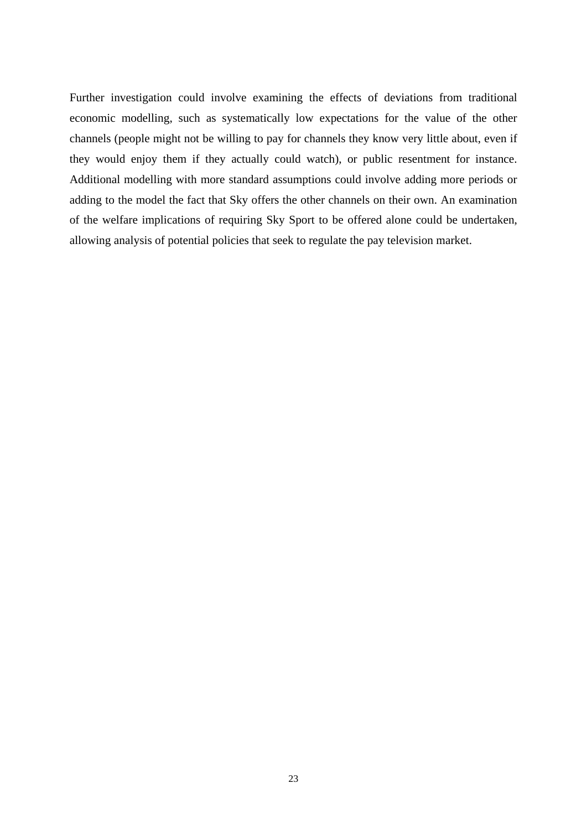Further investigation could involve examining the effects of deviations from traditional economic modelling, such as systematically low expectations for the value of the other channels (people might not be willing to pay for channels they know very little about, even if they would enjoy them if they actually could watch), or public resentment for instance. Additional modelling with more standard assumptions could involve adding more periods or adding to the model the fact that Sky offers the other channels on their own. An examination of the welfare implications of requiring Sky Sport to be offered alone could be undertaken, allowing analysis of potential policies that seek to regulate the pay television market.